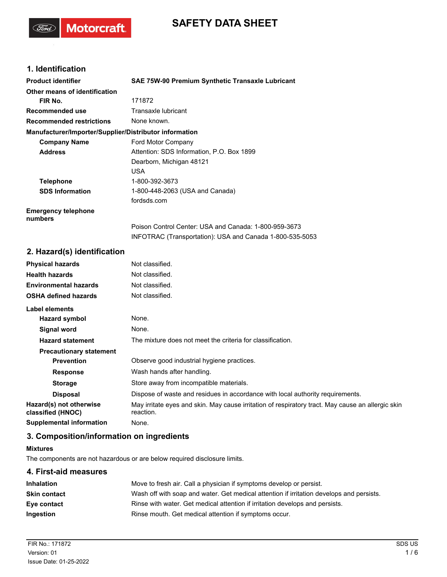# **SAFETY DATA SHEET**

## **1. Identification**

(Ford)

**Motorcraft** 

| <b>Product identifier</b>                              | SAE 75W-90 Premium Synthetic Transaxle Lubricant         |
|--------------------------------------------------------|----------------------------------------------------------|
| Other means of identification                          |                                                          |
| FIR No.                                                | 171872                                                   |
| <b>Recommended use</b>                                 | Transaxle lubricant                                      |
| <b>Recommended restrictions</b>                        | None known.                                              |
| Manufacturer/Importer/Supplier/Distributor information |                                                          |
| <b>Company Name</b>                                    | Ford Motor Company                                       |
| <b>Address</b>                                         | Attention: SDS Information, P.O. Box 1899                |
|                                                        | Dearborn, Michigan 48121                                 |
|                                                        | <b>USA</b>                                               |
| <b>Telephone</b>                                       | 1-800-392-3673                                           |
| <b>SDS Information</b>                                 | 1-800-448-2063 (USA and Canada)                          |
|                                                        | fordsds.com                                              |
| <b>Emergency telephone</b><br>numbers                  |                                                          |
|                                                        | Poison Control Center: USA and Canada: 1-800-959-3673    |
|                                                        | INFOTRAC (Transportation): USA and Canada 1-800-535-5053 |
|                                                        |                                                          |

### **2. Hazard(s) identification**

| <b>Physical hazards</b>                      | Not classified.                                                                                                |
|----------------------------------------------|----------------------------------------------------------------------------------------------------------------|
| <b>Health hazards</b>                        | Not classified.                                                                                                |
| <b>Environmental hazards</b>                 | Not classified.                                                                                                |
| <b>OSHA defined hazards</b>                  | Not classified.                                                                                                |
| <b>Label elements</b>                        |                                                                                                                |
| Hazard symbol                                | None.                                                                                                          |
| Signal word                                  | None.                                                                                                          |
| <b>Hazard statement</b>                      | The mixture does not meet the criteria for classification.                                                     |
| <b>Precautionary statement</b>               |                                                                                                                |
| <b>Prevention</b>                            | Observe good industrial hygiene practices.                                                                     |
| <b>Response</b>                              | Wash hands after handling.                                                                                     |
| <b>Storage</b>                               | Store away from incompatible materials.                                                                        |
| <b>Disposal</b>                              | Dispose of waste and residues in accordance with local authority requirements.                                 |
| Hazard(s) not otherwise<br>classified (HNOC) | May irritate eyes and skin. May cause irritation of respiratory tract. May cause an allergic skin<br>reaction. |
| <b>Supplemental information</b>              | None.                                                                                                          |
|                                              |                                                                                                                |

## **3. Composition/information on ingredients**

#### **Mixtures**

The components are not hazardous or are below required disclosure limits.

## **4. First-aid measures Inhalation** Move to fresh air. Call a physician if symptoms develop or persist. **Skin contact** Wash off with soap and water. Get medical attention if irritation develops and persists. **Eye contact** Rinse with water. Get medical attention if irritation develops and persists. **Ingestion** Rinse mouth. Get medical attention if symptoms occur.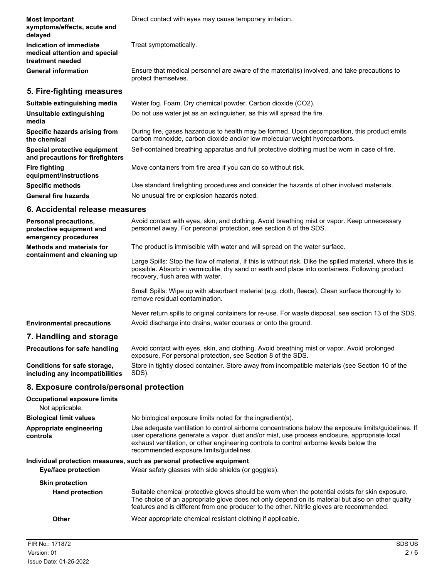| <b>Most important</b><br>symptoms/effects, acute and<br>delayed              | Direct contact with eyes may cause temporary irritation.                                                                                                                  |
|------------------------------------------------------------------------------|---------------------------------------------------------------------------------------------------------------------------------------------------------------------------|
| Indication of immediate<br>medical attention and special<br>treatment needed | Treat symptomatically.                                                                                                                                                    |
| <b>General information</b>                                                   | Ensure that medical personnel are aware of the material(s) involved, and take precautions to<br>protect themselves.                                                       |
| 5. Fire-fighting measures                                                    |                                                                                                                                                                           |
| Suitable extinguishing media                                                 | Water fog. Foam. Dry chemical powder. Carbon dioxide (CO2).                                                                                                               |
| Unsuitable extinguishing<br>media                                            | Do not use water jet as an extinguisher, as this will spread the fire.                                                                                                    |
| Specific hazards arising from<br>the chemical                                | During fire, gases hazardous to health may be formed. Upon decomposition, this product emits<br>carbon monoxide, carbon dioxide and/or low molecular weight hydrocarbons. |
| Special protective equipment<br>and precautions for firefighters             | Self-contained breathing apparatus and full protective clothing must be worn in case of fire.                                                                             |
| <b>Fire fighting</b><br>equipment/instructions                               | Move containers from fire area if you can do so without risk.                                                                                                             |
| <b>Specific methods</b>                                                      | Use standard firefighting procedures and consider the hazards of other involved materials.                                                                                |
| <b>General fire hazards</b>                                                  | No unusual fire or explosion hazards noted.                                                                                                                               |
| 6. Accidental release measures                                               |                                                                                                                                                                           |
| <b>Personal precautions</b>                                                  | Avoid contact with eves skin, and clothing. Avoid breathing mist or vapor. Keep unnecessary                                                                               |

| <b>Personal precautions,</b><br>protective equipment and<br>emergency procedures | Avoid contact with eyes, skin, and clothing. Avoid breathing mist or vapor. Keep unnecessary<br>personnel away. For personal protection, see section 8 of the SDS.                                                                                |
|----------------------------------------------------------------------------------|---------------------------------------------------------------------------------------------------------------------------------------------------------------------------------------------------------------------------------------------------|
| <b>Methods and materials for</b><br>containment and cleaning up                  | The product is immiscible with water and will spread on the water surface.                                                                                                                                                                        |
|                                                                                  | Large Spills: Stop the flow of material, if this is without risk. Dike the spilled material, where this is<br>possible. Absorb in vermiculite, dry sand or earth and place into containers. Following product<br>recovery, flush area with water. |
|                                                                                  | Small Spills: Wipe up with absorbent material (e.g. cloth, fleece). Clean surface thoroughly to<br>remove residual contamination.                                                                                                                 |
|                                                                                  | Never return spills to original containers for re-use. For waste disposal, see section 13 of the SDS.                                                                                                                                             |
| <b>Environmental precautions</b>                                                 | Avoid discharge into drains, water courses or onto the ground.                                                                                                                                                                                    |
| 7. Handling and storage                                                          |                                                                                                                                                                                                                                                   |
| <b>Precautions for safe handling</b>                                             | Avoid contact with eyes, skin, and clothing. Avoid breathing mist or vapor. Avoid prolonged<br>exposure. For personal protection, see Section 8 of the SDS.                                                                                       |
| Conditions for safe storage.                                                     | Store in tightly closed container. Store away from incompatible materials (see Section 10 of the                                                                                                                                                  |

ightly closed container. Store away from incompatible materials (see Section 10 of the SDS). **Conditions for safe storage, including any incompatibilities**

## **8. Exposure controls/personal protection**

| <b>Occupational exposure limits</b><br>Not applicable. |                                                                                                                                                                                                                                                                                                                                            |
|--------------------------------------------------------|--------------------------------------------------------------------------------------------------------------------------------------------------------------------------------------------------------------------------------------------------------------------------------------------------------------------------------------------|
| <b>Biological limit values</b>                         | No biological exposure limits noted for the ingredient(s).                                                                                                                                                                                                                                                                                 |
| Appropriate engineering<br>controls                    | Use adequate ventilation to control airborne concentrations below the exposure limits/quidelines. If<br>user operations generate a vapor, dust and/or mist, use process enclosure, appropriate local<br>exhaust ventilation, or other engineering controls to control airborne levels below the<br>recommended exposure limits/guidelines. |
|                                                        | Individual protection measures, such as personal protective equipment                                                                                                                                                                                                                                                                      |
| Eye/face protection                                    | Wear safety glasses with side shields (or goggles).                                                                                                                                                                                                                                                                                        |
| <b>Skin protection</b>                                 |                                                                                                                                                                                                                                                                                                                                            |
| <b>Hand protection</b>                                 | Suitable chemical protective gloves should be worn when the potential exists for skin exposure.<br>The choice of an appropriate glove does not only depend on its material but also on other quality<br>features and is different from one producer to the other. Nitrile gloves are recommended.                                          |
| Other                                                  | Wear appropriate chemical resistant clothing if applicable.                                                                                                                                                                                                                                                                                |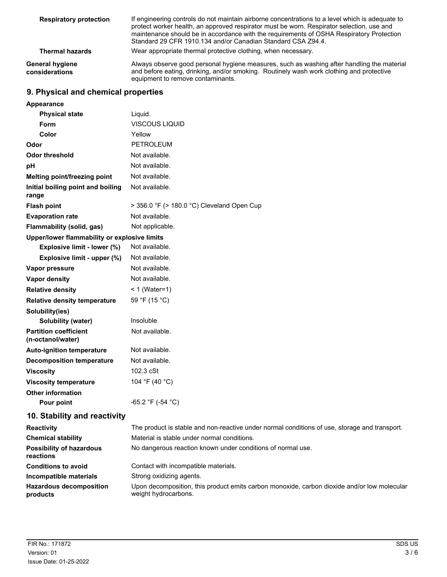| <b>Respiratory protection</b>            | If engineering controls do not maintain airborne concentrations to a level which is adequate to<br>protect worker health, an approved respirator must be worn. Respirator selection, use and<br>maintenance should be in accordance with the requirements of OSHA Respiratory Protection<br>Standard 29 CFR 1910.134 and/or Canadian Standard CSA Z94.4. |
|------------------------------------------|----------------------------------------------------------------------------------------------------------------------------------------------------------------------------------------------------------------------------------------------------------------------------------------------------------------------------------------------------------|
| <b>Thermal hazards</b>                   | Wear appropriate thermal protective clothing, when necessary.                                                                                                                                                                                                                                                                                            |
| <b>General hygiene</b><br>considerations | Always observe good personal hygiene measures, such as washing after handling the material<br>and before eating, drinking, and/or smoking. Routinely wash work clothing and protective<br>equipment to remove contaminants.                                                                                                                              |

## **9. Physical and chemical properties**

| Appearance                                        |                                            |
|---------------------------------------------------|--------------------------------------------|
| <b>Physical state</b>                             | Liquid.                                    |
| Form                                              | <b>VISCOUS LIQUID</b>                      |
| Color                                             | Yellow                                     |
| Odor                                              | <b>PETROLEUM</b>                           |
| <b>Odor threshold</b>                             | Not available.                             |
| рH                                                | Not available.                             |
| Melting point/freezing point                      | Not available.                             |
| Initial boiling point and boiling<br>range        | Not available.                             |
| <b>Flash point</b>                                | > 356.0 °F (> 180.0 °C) Cleveland Open Cup |
| <b>Evaporation rate</b>                           | Not available.                             |
| Flammability (solid, gas)                         | Not applicable.                            |
| Upper/lower flammability or explosive limits      |                                            |
| Explosive limit - lower (%)                       | Not available.                             |
| Explosive limit - upper (%)                       | Not available.                             |
| Vapor pressure                                    | Not available.                             |
| <b>Vapor density</b>                              | Not available.                             |
| <b>Relative density</b>                           | $< 1$ (Water=1)                            |
| <b>Relative density temperature</b>               | 59 °F (15 °C)                              |
| Solubility(ies)                                   |                                            |
| <b>Solubility (water)</b>                         | Insoluble                                  |
| <b>Partition coefficient</b><br>(n-octanol/water) | Not available.                             |
| <b>Auto-ignition temperature</b>                  | Not available.                             |
| <b>Decomposition temperature</b>                  | Not available.                             |
| <b>Viscosity</b>                                  | 102.3 cSt                                  |
| <b>Viscosity temperature</b>                      | 104 °F (40 °C)                             |
| <b>Other information</b>                          |                                            |
| Pour point                                        | -65.2 °F (-54 °C)                          |
|                                                   |                                            |

## **10. Stability and reactivity**

| <b>Reactivity</b>                            | The product is stable and non-reactive under normal conditions of use, storage and transport.                       |
|----------------------------------------------|---------------------------------------------------------------------------------------------------------------------|
| <b>Chemical stability</b>                    | Material is stable under normal conditions.                                                                         |
| <b>Possibility of hazardous</b><br>reactions | No dangerous reaction known under conditions of normal use.                                                         |
| <b>Conditions to avoid</b>                   | Contact with incompatible materials.                                                                                |
| Incompatible materials                       | Strong oxidizing agents.                                                                                            |
| <b>Hazardous decomposition</b><br>products   | Upon decomposition, this product emits carbon monoxide, carbon dioxide and/or low molecular<br>weight hydrocarbons. |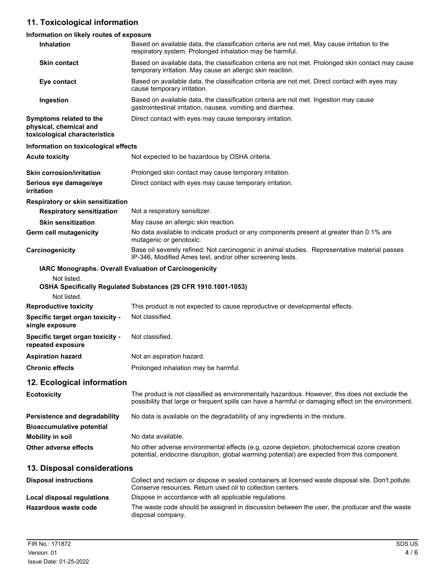# **11. Toxicological information**

## **Information on likely routes of exposure**

| <b>Inhalation</b>                                                                  | Based on available data, the classification criteria are not met. May cause irritation to the<br>respiratory system. Prolonged inhalation may be harmful.                                             |
|------------------------------------------------------------------------------------|-------------------------------------------------------------------------------------------------------------------------------------------------------------------------------------------------------|
| <b>Skin contact</b>                                                                | Based on available data, the classification criteria are not met. Prolonged skin contact may cause<br>temporary irritation. May cause an allergic skin reaction.                                      |
| Eye contact                                                                        | Based on available data, the classification criteria are not met. Direct contact with eyes may<br>cause temporary irritation.                                                                         |
| Ingestion                                                                          | Based on available data, the classification criteria are not met. Ingestion may cause<br>gastrointestinal irritation, nausea, vomiting and diarrhea.                                                  |
| Symptoms related to the<br>physical, chemical and<br>toxicological characteristics | Direct contact with eyes may cause temporary irritation.                                                                                                                                              |
| Information on toxicological effects                                               |                                                                                                                                                                                                       |
| <b>Acute toxicity</b>                                                              | Not expected to be hazardous by OSHA criteria.                                                                                                                                                        |
| <b>Skin corrosion/irritation</b>                                                   | Prolonged skin contact may cause temporary irritation.                                                                                                                                                |
| Serious eye damage/eye<br>irritation                                               | Direct contact with eyes may cause temporary irritation.                                                                                                                                              |
| Respiratory or skin sensitization                                                  |                                                                                                                                                                                                       |
| <b>Respiratory sensitization</b>                                                   | Not a respiratory sensitizer.                                                                                                                                                                         |
| <b>Skin sensitization</b>                                                          | May cause an allergic skin reaction.                                                                                                                                                                  |
| <b>Germ cell mutagenicity</b>                                                      | No data available to indicate product or any components present at greater than 0.1% are<br>mutagenic or genotoxic.                                                                                   |
| Carcinogenicity                                                                    | Base oil severely refined: Not carcinogenic in animal studies. Representative material passes<br>IP-346, Modified Ames test, and/or other screening tests.                                            |
| IARC Monographs. Overall Evaluation of Carcinogenicity                             |                                                                                                                                                                                                       |
| Not listed.<br>Not listed.                                                         | OSHA Specifically Regulated Substances (29 CFR 1910.1001-1053)                                                                                                                                        |
| <b>Reproductive toxicity</b>                                                       | This product is not expected to cause reproductive or developmental effects.                                                                                                                          |
| Specific target organ toxicity -<br>single exposure                                | Not classified.                                                                                                                                                                                       |
| Specific target organ toxicity -<br>repeated exposure                              | Not classified.                                                                                                                                                                                       |
| <b>Aspiration hazard</b>                                                           | Not an aspiration hazard.                                                                                                                                                                             |
| <b>Chronic effects</b>                                                             | Prolonged inhalation may be harmful.                                                                                                                                                                  |
| 12. Ecological information                                                         |                                                                                                                                                                                                       |
| <b>Ecotoxicity</b>                                                                 | The product is not classified as environmentally hazardous. However, this does not exclude the<br>possibility that large or frequent spills can have a harmful or damaging effect on the environment. |
| <b>Persistence and degradability</b><br><b>Bioaccumulative potential</b>           | No data is available on the degradability of any ingredients in the mixture.                                                                                                                          |
| <b>Mobility in soil</b>                                                            | No data available.                                                                                                                                                                                    |
| Other adverse effects                                                              | No other adverse environmental effects (e.g. ozone depletion, photochemical ozone creation<br>potential, endocrine disruption, global warming potential) are expected from this component.            |
| 13. Disposal considerations                                                        |                                                                                                                                                                                                       |
| <b>Disposal instructions</b>                                                       | Collect and reclaim or dispose in sealed containers at licensed waste disposal site. Don't pollute.<br>Conserve resources. Return used oil to collection centers.                                     |
| Local disposal regulations                                                         | Dispose in accordance with all applicable regulations.                                                                                                                                                |
| Hazardous waste code                                                               | The waste code should be assigned in discussion between the user, the producer and the waste<br>disposal company.                                                                                     |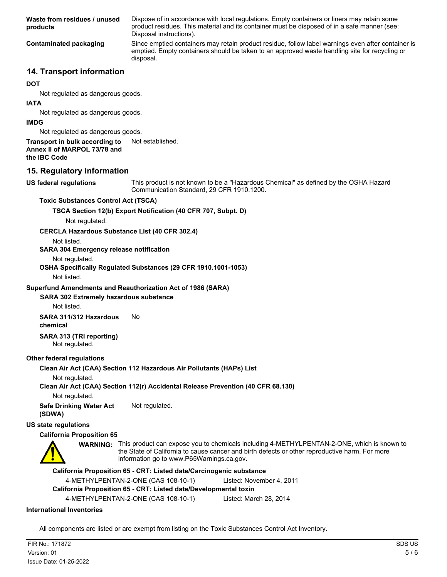Dispose of in accordance with local regulations. Empty containers or liners may retain some product residues. This material and its container must be disposed of in a safe manner (see: Disposal instructions). **Waste from residues / unused products** Since emptied containers may retain product residue, follow label warnings even after container is emptied. Empty containers should be taken to an approved waste handling site for recycling or disposal. **Contaminated packaging**

## **14. Transport information**

#### **DOT**

Not regulated as dangerous goods.

#### **IATA**

Not regulated as dangerous goods.

#### **IMDG**

Not regulated as dangerous goods.

### **Transport in bulk according to** Not established.

**Annex II of MARPOL 73/78 and**

**the IBC Code**

### **15. Regulatory information**

**US federal regulations**

This product is not known to be a "Hazardous Chemical" as defined by the OSHA Hazard Communication Standard, 29 CFR 1910.1200.

#### **Toxic Substances Control Act (TSCA)**

**TSCA Section 12(b) Export Notification (40 CFR 707, Subpt. D)**

Not regulated.

#### **CERCLA Hazardous Substance List (40 CFR 302.4)**

Not listed.

#### **SARA 304 Emergency release notification**

Not regulated.

#### **OSHA Specifically Regulated Substances (29 CFR 1910.1001-1053)**

Not listed.

#### **Superfund Amendments and Reauthorization Act of 1986 (SARA)**

#### **SARA 302 Extremely hazardous substance**

Not listed.

#### **SARA 311/312 Hazardous** No **chemical**

#### **SARA 313 (TRI reporting)** Not regulated.

#### **Other federal regulations**

**Clean Air Act (CAA) Section 112 Hazardous Air Pollutants (HAPs) List**

#### Not regulated.

**Clean Air Act (CAA) Section 112(r) Accidental Release Prevention (40 CFR 68.130)**

Not regulated.

**Safe Drinking Water Act** Not regulated. **(SDWA)**

#### **US state regulations**

### **California Proposition 65**



WARNING: This product can expose you to chemicals including 4-METHYLPENTAN-2-ONE, which is known to the State of California to cause cancer and birth defects or other reproductive harm. For more information go to www.P65Warnings.ca.gov.

#### **California Proposition 65 - CRT: Listed date/Carcinogenic substance**

4-METHYLPENTAN-2-ONE (CAS 108-10-1) Listed: November 4, 2011

### **California Proposition 65 - CRT: Listed date/Developmental toxin**

4-METHYLPENTAN-2-ONE (CAS 108-10-1) Listed: March 28, 2014

#### **International Inventories**

All components are listed or are exempt from listing on the Toxic Substances Control Act Inventory.